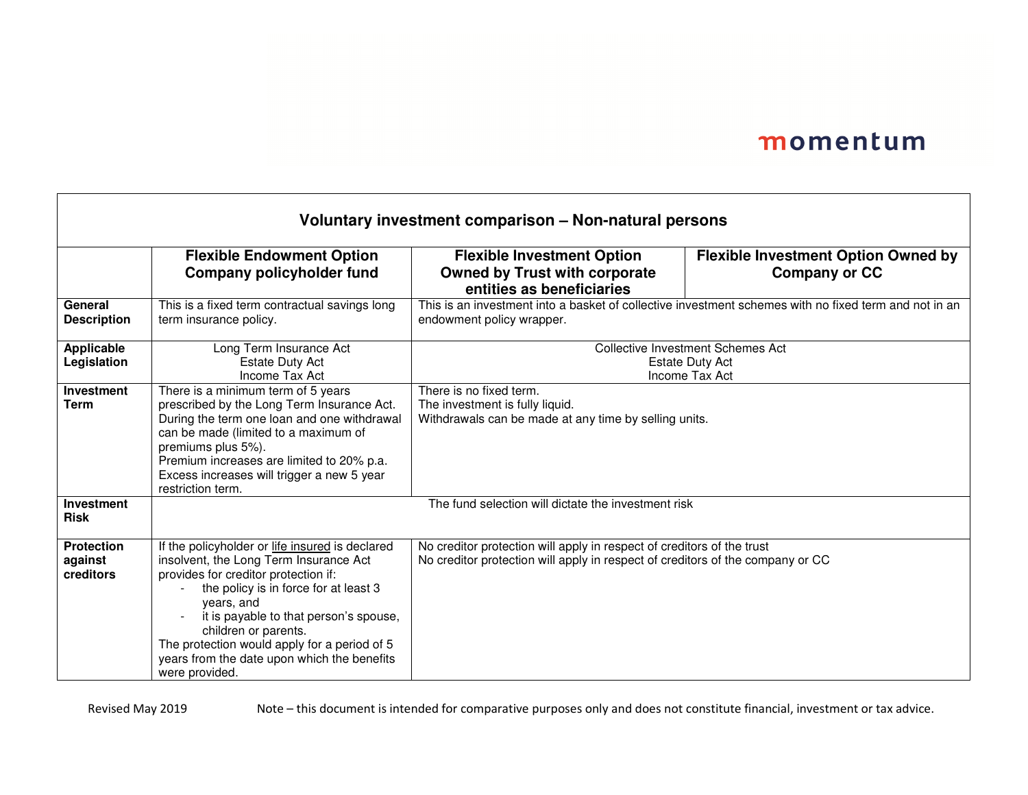$\overline{\phantom{a}}$ 

| Voluntary investment comparison - Non-natural persons |                                                                                                                                                                                                                                                                                                                                                                             |                                                                                                                                                          |                                                                    |
|-------------------------------------------------------|-----------------------------------------------------------------------------------------------------------------------------------------------------------------------------------------------------------------------------------------------------------------------------------------------------------------------------------------------------------------------------|----------------------------------------------------------------------------------------------------------------------------------------------------------|--------------------------------------------------------------------|
|                                                       | <b>Flexible Endowment Option</b><br><b>Company policyholder fund</b>                                                                                                                                                                                                                                                                                                        | <b>Flexible Investment Option</b><br><b>Owned by Trust with corporate</b><br>entities as beneficiaries                                                   | <b>Flexible Investment Option Owned by</b><br><b>Company or CC</b> |
| General<br><b>Description</b>                         | This is a fixed term contractual savings long<br>term insurance policy.                                                                                                                                                                                                                                                                                                     | This is an investment into a basket of collective investment schemes with no fixed term and not in an<br>endowment policy wrapper.                       |                                                                    |
| Applicable<br>Legislation                             | Long Term Insurance Act<br><b>Estate Duty Act</b><br>Income Tax Act                                                                                                                                                                                                                                                                                                         | <b>Collective Investment Schemes Act</b><br><b>Estate Duty Act</b><br>Income Tax Act                                                                     |                                                                    |
| Investment<br><b>Term</b>                             | There is a minimum term of 5 years<br>prescribed by the Long Term Insurance Act.<br>During the term one loan and one withdrawal<br>can be made (limited to a maximum of<br>premiums plus 5%).<br>Premium increases are limited to 20% p.a.<br>Excess increases will trigger a new 5 year<br>restriction term.                                                               | There is no fixed term.<br>The investment is fully liquid.<br>Withdrawals can be made at any time by selling units.                                      |                                                                    |
| Investment<br><b>Risk</b>                             |                                                                                                                                                                                                                                                                                                                                                                             | The fund selection will dictate the investment risk                                                                                                      |                                                                    |
| <b>Protection</b><br>against<br>creditors             | If the policyholder or life insured is declared<br>insolvent, the Long Term Insurance Act<br>provides for creditor protection if:<br>the policy is in force for at least 3<br>years, and<br>it is payable to that person's spouse,<br>children or parents.<br>The protection would apply for a period of 5<br>years from the date upon which the benefits<br>were provided. | No creditor protection will apply in respect of creditors of the trust<br>No creditor protection will apply in respect of creditors of the company or CC |                                                                    |

Revised May 2019 Note – this document is intended for comparative purposes only and does not constitute financial, investment or tax advice.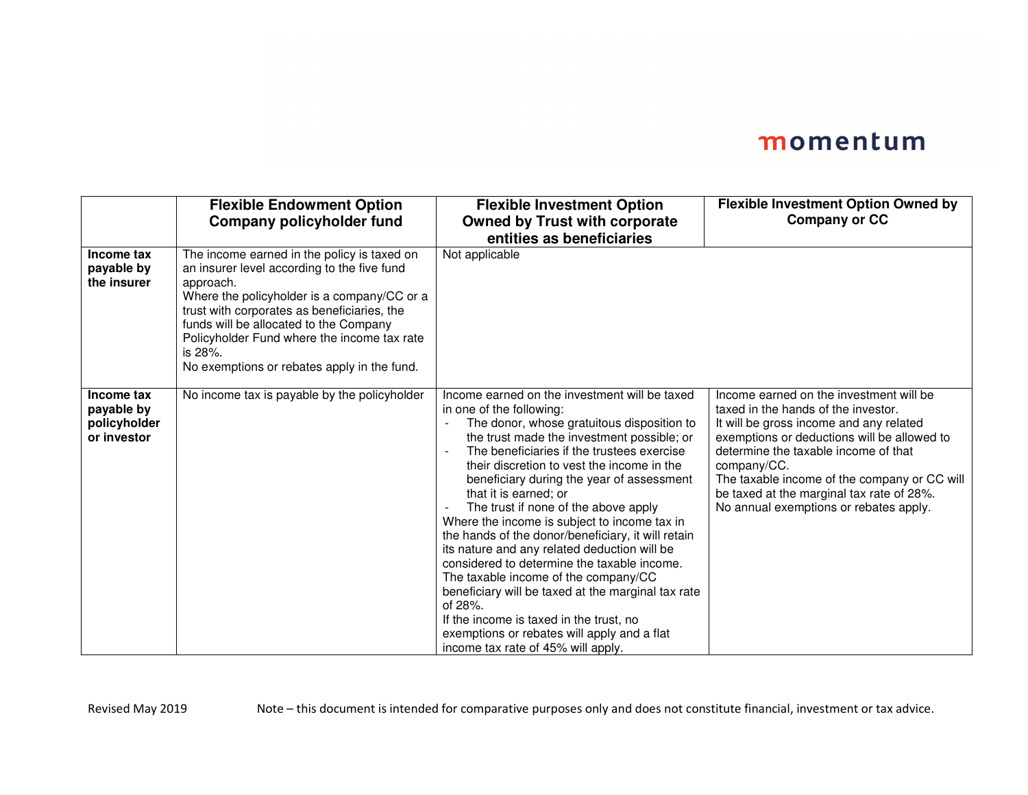|                                                         | <b>Flexible Endowment Option</b><br>Company policyholder fund                                                                                                                                                                                                                                                                                            | <b>Flexible Investment Option</b><br><b>Owned by Trust with corporate</b><br>entities as beneficiaries                                                                                                                                                                                                                                                                                                                                                                                                                                                                                                                                                                                                                                                                                                                        | <b>Flexible Investment Option Owned by</b><br><b>Company or CC</b>                                                                                                                                                                                                                                                                                                     |
|---------------------------------------------------------|----------------------------------------------------------------------------------------------------------------------------------------------------------------------------------------------------------------------------------------------------------------------------------------------------------------------------------------------------------|-------------------------------------------------------------------------------------------------------------------------------------------------------------------------------------------------------------------------------------------------------------------------------------------------------------------------------------------------------------------------------------------------------------------------------------------------------------------------------------------------------------------------------------------------------------------------------------------------------------------------------------------------------------------------------------------------------------------------------------------------------------------------------------------------------------------------------|------------------------------------------------------------------------------------------------------------------------------------------------------------------------------------------------------------------------------------------------------------------------------------------------------------------------------------------------------------------------|
| Income tax<br>payable by<br>the insurer                 | The income earned in the policy is taxed on<br>an insurer level according to the five fund<br>approach.<br>Where the policyholder is a company/CC or a<br>trust with corporates as beneficiaries, the<br>funds will be allocated to the Company<br>Policyholder Fund where the income tax rate<br>is 28%.<br>No exemptions or rebates apply in the fund. | Not applicable                                                                                                                                                                                                                                                                                                                                                                                                                                                                                                                                                                                                                                                                                                                                                                                                                |                                                                                                                                                                                                                                                                                                                                                                        |
| Income tax<br>payable by<br>policyholder<br>or investor | No income tax is payable by the policyholder                                                                                                                                                                                                                                                                                                             | Income earned on the investment will be taxed<br>in one of the following:<br>The donor, whose gratuitous disposition to<br>the trust made the investment possible; or<br>The beneficiaries if the trustees exercise<br>their discretion to vest the income in the<br>beneficiary during the year of assessment<br>that it is earned; or<br>The trust if none of the above apply<br>Where the income is subject to income tax in<br>the hands of the donor/beneficiary, it will retain<br>its nature and any related deduction will be<br>considered to determine the taxable income.<br>The taxable income of the company/CC<br>beneficiary will be taxed at the marginal tax rate<br>of 28%.<br>If the income is taxed in the trust, no<br>exemptions or rebates will apply and a flat<br>income tax rate of 45% will apply. | Income earned on the investment will be<br>taxed in the hands of the investor.<br>It will be gross income and any related<br>exemptions or deductions will be allowed to<br>determine the taxable income of that<br>company/CC.<br>The taxable income of the company or CC will<br>be taxed at the marginal tax rate of 28%.<br>No annual exemptions or rebates apply. |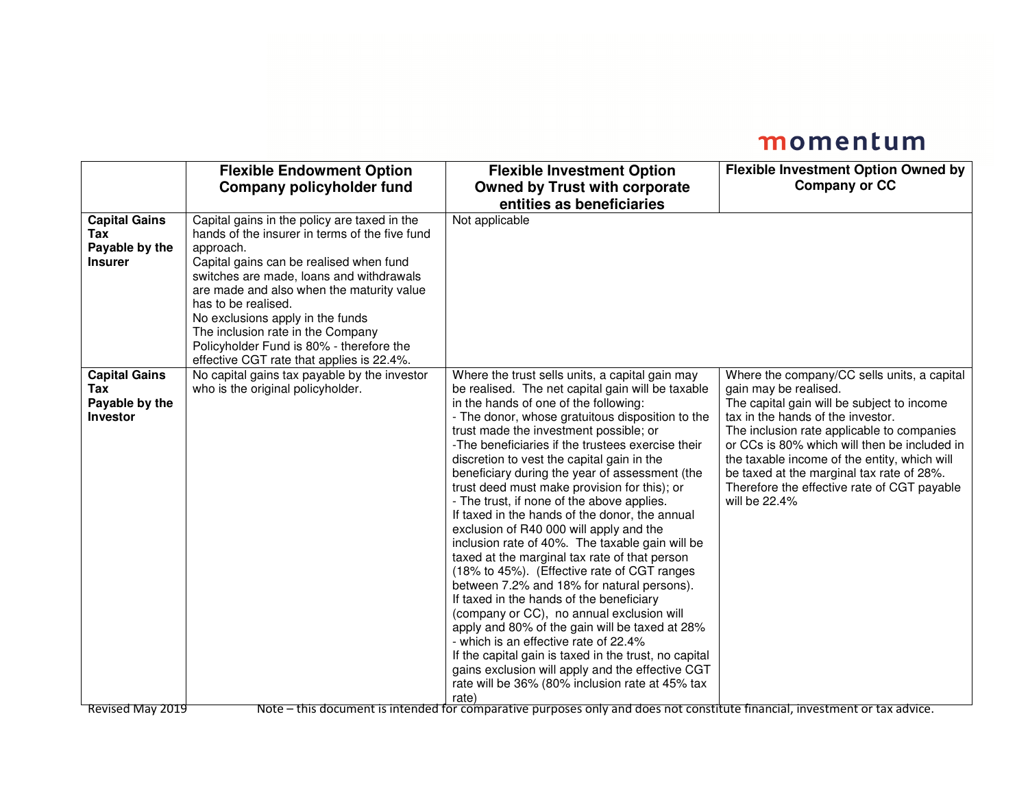|                                                                                      | <b>Flexible Endowment Option</b><br>Company policyholder fund                                                                                                                                                                                                                                                                                                                                                                            | <b>Flexible Investment Option</b><br><b>Owned by Trust with corporate</b><br>entities as beneficiaries                                                                                                                                                                                                                                                                                                                                                                                                                                                                                                                                                                                                                                                                                                                                                                                                                                                                                                                                                                                                                                                                                                                                                                                   | <b>Flexible Investment Option Owned by</b><br><b>Company or CC</b>                                                                                                                                                                                                                                                                                                                                                 |
|--------------------------------------------------------------------------------------|------------------------------------------------------------------------------------------------------------------------------------------------------------------------------------------------------------------------------------------------------------------------------------------------------------------------------------------------------------------------------------------------------------------------------------------|------------------------------------------------------------------------------------------------------------------------------------------------------------------------------------------------------------------------------------------------------------------------------------------------------------------------------------------------------------------------------------------------------------------------------------------------------------------------------------------------------------------------------------------------------------------------------------------------------------------------------------------------------------------------------------------------------------------------------------------------------------------------------------------------------------------------------------------------------------------------------------------------------------------------------------------------------------------------------------------------------------------------------------------------------------------------------------------------------------------------------------------------------------------------------------------------------------------------------------------------------------------------------------------|--------------------------------------------------------------------------------------------------------------------------------------------------------------------------------------------------------------------------------------------------------------------------------------------------------------------------------------------------------------------------------------------------------------------|
| <b>Capital Gains</b><br>Tax<br>Payable by the<br><b>Insurer</b>                      | Capital gains in the policy are taxed in the<br>hands of the insurer in terms of the five fund<br>approach.<br>Capital gains can be realised when fund<br>switches are made, loans and withdrawals<br>are made and also when the maturity value<br>has to be realised.<br>No exclusions apply in the funds<br>The inclusion rate in the Company<br>Policyholder Fund is 80% - therefore the<br>effective CGT rate that applies is 22.4%. | Not applicable                                                                                                                                                                                                                                                                                                                                                                                                                                                                                                                                                                                                                                                                                                                                                                                                                                                                                                                                                                                                                                                                                                                                                                                                                                                                           |                                                                                                                                                                                                                                                                                                                                                                                                                    |
| <b>Capital Gains</b><br>Tax<br>Payable by the<br><b>Investor</b><br>Revised May 2019 | No capital gains tax payable by the investor<br>who is the original policyholder.                                                                                                                                                                                                                                                                                                                                                        | Where the trust sells units, a capital gain may<br>be realised. The net capital gain will be taxable<br>in the hands of one of the following:<br>- The donor, whose gratuitous disposition to the<br>trust made the investment possible; or<br>-The beneficiaries if the trustees exercise their<br>discretion to vest the capital gain in the<br>beneficiary during the year of assessment (the<br>trust deed must make provision for this); or<br>- The trust, if none of the above applies.<br>If taxed in the hands of the donor, the annual<br>exclusion of R40 000 will apply and the<br>inclusion rate of 40%. The taxable gain will be<br>taxed at the marginal tax rate of that person<br>(18% to 45%). (Effective rate of CGT ranges<br>between 7.2% and 18% for natural persons).<br>If taxed in the hands of the beneficiary<br>(company or CC), no annual exclusion will<br>apply and 80% of the gain will be taxed at 28%<br>- which is an effective rate of 22.4%<br>If the capital gain is taxed in the trust, no capital<br>gains exclusion will apply and the effective CGT<br>rate will be 36% (80% inclusion rate at 45% tax<br>rate)<br>Note – this document is intended for comparative purposes only and does not constitute financial, investment or tax advice. | Where the company/CC sells units, a capital<br>gain may be realised.<br>The capital gain will be subject to income<br>tax in the hands of the investor.<br>The inclusion rate applicable to companies<br>or CCs is 80% which will then be included in<br>the taxable income of the entity, which will<br>be taxed at the marginal tax rate of 28%.<br>Therefore the effective rate of CGT payable<br>will be 22.4% |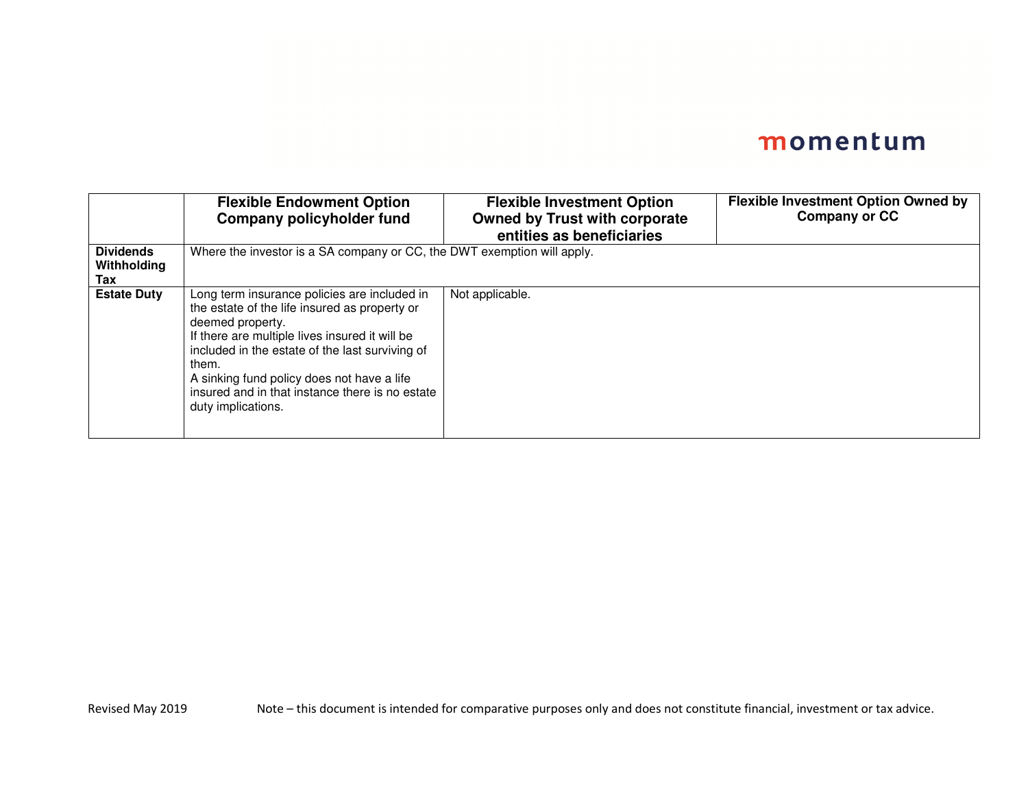|                                        | <b>Flexible Endowment Option</b><br>Company policyholder fund                                                                                                                                                                                                                                                                                          | <b>Flexible Investment Option</b><br><b>Owned by Trust with corporate</b><br>entities as beneficiaries | <b>Flexible Investment Option Owned by</b><br>Company or CC |
|----------------------------------------|--------------------------------------------------------------------------------------------------------------------------------------------------------------------------------------------------------------------------------------------------------------------------------------------------------------------------------------------------------|--------------------------------------------------------------------------------------------------------|-------------------------------------------------------------|
| <b>Dividends</b><br>Withholding<br>Tax | Where the investor is a SA company or CC, the DWT exemption will apply.                                                                                                                                                                                                                                                                                |                                                                                                        |                                                             |
| <b>Estate Duty</b>                     | Long term insurance policies are included in<br>the estate of the life insured as property or<br>deemed property.<br>If there are multiple lives insured it will be<br>included in the estate of the last surviving of<br>them.<br>A sinking fund policy does not have a life<br>insured and in that instance there is no estate<br>duty implications. | Not applicable.                                                                                        |                                                             |